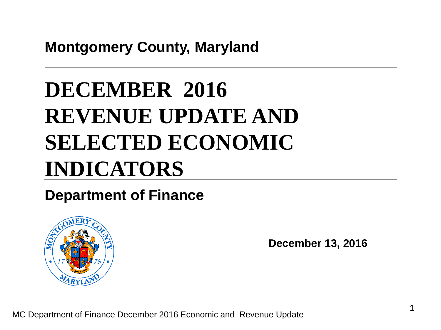**Montgomery County, Maryland**

# **DECEMBER 2016 REVENUE UPDATE AND SELECTED ECONOMIC INDICATORS**

#### **Department of Finance**



**December 13, 2016**

MC Department of Finance December 2016 Economic and Revenue Update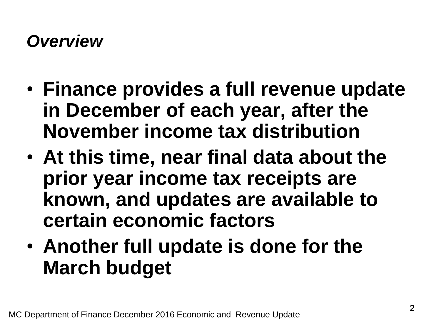#### *Overview*

- **Finance provides a full revenue update in December of each year, after the November income tax distribution**
- **At this time, near final data about the prior year income tax receipts are known, and updates are available to certain economic factors**
- **Another full update is done for the March budget**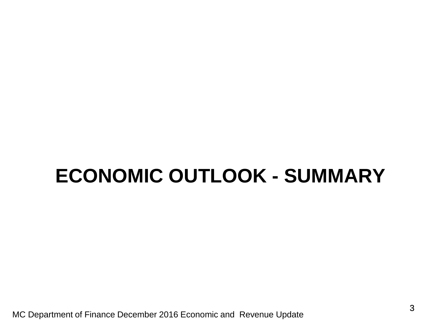## **ECONOMIC OUTLOOK - SUMMARY**

MC Department of Finance December 2016 Economic and Revenue Update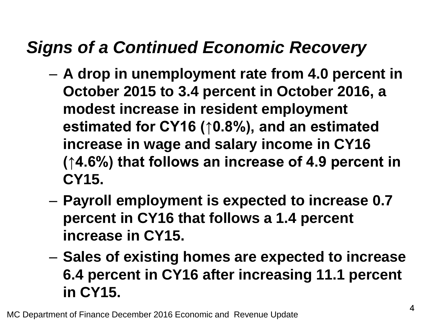#### *Signs of a Continued Economic Recovery*

- **A drop in unemployment rate from 4.0 percent in October 2015 to 3.4 percent in October 2016, a modest increase in resident employment estimated for CY16 (↑0.8%), and an estimated increase in wage and salary income in CY16 (↑4.6%) that follows an increase of 4.9 percent in CY15.**
- **Payroll employment is expected to increase 0.7 percent in CY16 that follows a 1.4 percent increase in CY15.**
- **Sales of existing homes are expected to increase 6.4 percent in CY16 after increasing 11.1 percent in CY15.**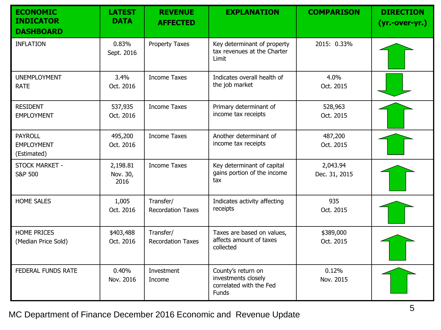| <b>ECONOMIC</b><br><b>INDICATOR</b><br><b>DASHBOARD</b> | <b>LATEST</b><br><b>DATA</b> | <b>REVENUE</b><br><b>AFFECTED</b>     | <b>EXPLANATION</b>                                                                   | <b>COMPARISON</b>         | <b>DIRECTION</b><br>$(yr.-over-yr.)$ |
|---------------------------------------------------------|------------------------------|---------------------------------------|--------------------------------------------------------------------------------------|---------------------------|--------------------------------------|
| <b>INFLATION</b>                                        | 0.83%<br>Sept. 2016          | <b>Property Taxes</b>                 | Key determinant of property<br>tax revenues at the Charter<br>Limit                  | 2015: 0.33%               |                                      |
| <b>UNEMPLOYMENT</b><br><b>RATE</b>                      | 3.4%<br>Oct. 2016            | <b>Income Taxes</b>                   | Indicates overall health of<br>the job market                                        | 4.0%<br>Oct. 2015         |                                      |
| <b>RESIDENT</b><br><b>EMPLOYMENT</b>                    | 537,935<br>Oct. 2016         | <b>Income Taxes</b>                   | Primary determinant of<br>income tax receipts                                        | 528,963<br>Oct. 2015      |                                      |
| <b>PAYROLL</b><br><b>EMPLOYMENT</b><br>(Estimated)      | 495,200<br>Oct. 2016         | <b>Income Taxes</b>                   | Another determinant of<br>income tax receipts                                        | 487,200<br>Oct. 2015      |                                      |
| STOCK MARKET -<br><b>S&amp;P 500</b>                    | 2,198.81<br>Nov. 30,<br>2016 | <b>Income Taxes</b>                   | Key determinant of capital<br>gains portion of the income<br>tax                     | 2,043.94<br>Dec. 31, 2015 |                                      |
| <b>HOME SALES</b>                                       | 1,005<br>Oct. 2016           | Transfer/<br><b>Recordation Taxes</b> | Indicates activity affecting<br>receipts                                             | 935<br>Oct. 2015          |                                      |
| <b>HOME PRICES</b><br>(Median Price Sold)               | \$403,488<br>Oct. 2016       | Transfer/<br><b>Recordation Taxes</b> | Taxes are based on values,<br>affects amount of taxes<br>collected                   | \$389,000<br>Oct. 2015    |                                      |
| <b>FEDERAL FUNDS RATE</b>                               | 0.40%<br>Nov. 2016           | Investment<br>Income                  | County's return on<br>investments closely<br>correlated with the Fed<br><b>Funds</b> | 0.12%<br>Nov. 2015        |                                      |

MC Department of Finance December 2016 Economic and Revenue Update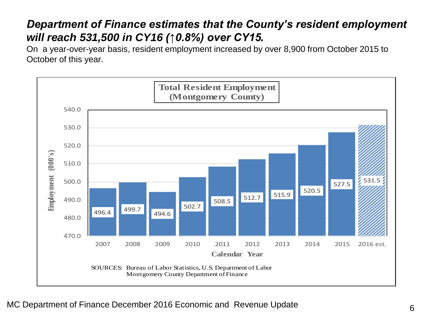#### *Department of Finance estimates that the County's resident employment will reach 531,500 in CY16 (↑0.8%) over CY15.*

On a year-over-year basis, resident employment increased by over 8,900 from October 2015 to October of this year.

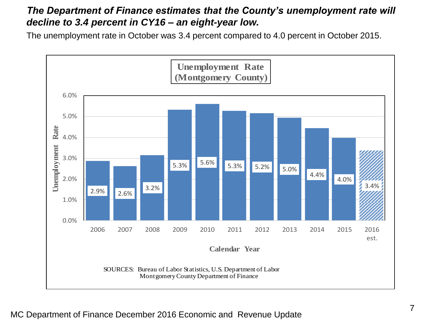#### *The Department of Finance estimates that the County's unemployment rate will decline to 3.4 percent in CY16 – an eight-year low.*

The unemployment rate in October was 3.4 percent compared to 4.0 percent in October 2015.

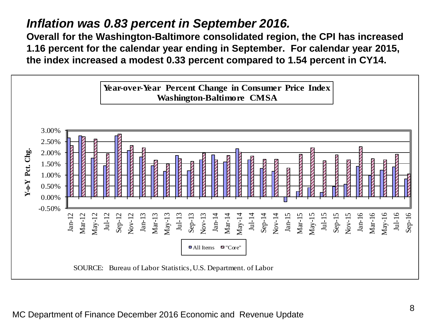#### *Inflation was 0.83 percent in September 2016.*

**Overall for the Washington-Baltimore consolidated region, the CPI has increased 1.16 percent for the calendar year ending in September. For calendar year 2015, the index increased a modest 0.33 percent compared to 1.54 percent in CY14.**

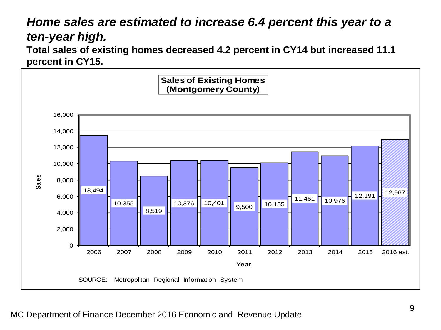#### *Home sales are estimated to increase 6.4 percent this year to a ten-year high.*

**Total sales of existing homes decreased 4.2 percent in CY14 but increased 11.1 percent in CY15.** 

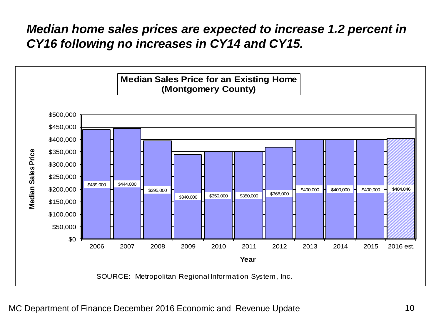#### *Median home sales prices are expected to increase 1.2 percent in CY16 following no increases in CY14 and CY15.*

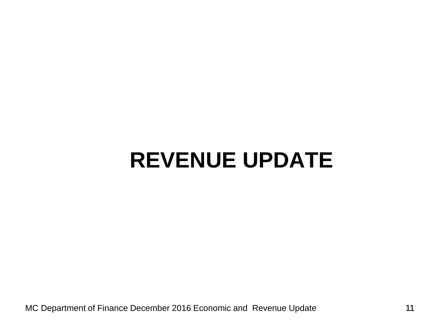## **REVENUE UPDATE**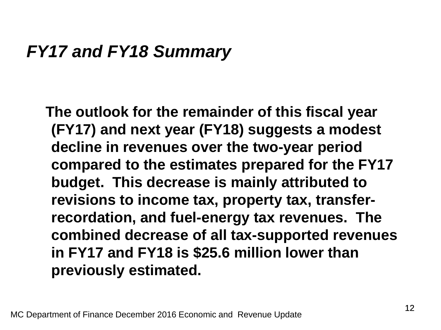#### *FY17 and FY18 Summary*

**The outlook for the remainder of this fiscal year (FY17) and next year (FY18) suggests a modest decline in revenues over the two-year period compared to the estimates prepared for the FY17 budget. This decrease is mainly attributed to revisions to income tax, property tax, transferrecordation, and fuel-energy tax revenues. The combined decrease of all tax-supported revenues in FY17 and FY18 is \$25.6 million lower than previously estimated.**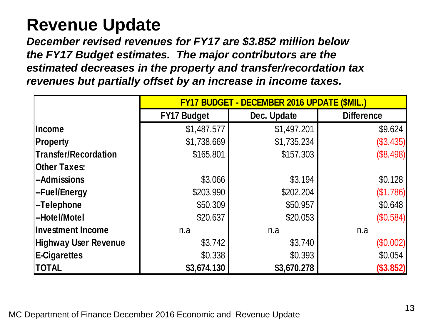#### **Revenue Update**

*December revised revenues for FY17 are \$3.852 million below the FY17 Budget estimates. The major contributors are the estimated decreases in the property and transfer/recordation tax revenues but partially offset by an increase in income taxes.*

|                             | <b>FY17 BUDGET - DECEMBER 2016 UPDATE (\$MIL.)</b> |             |                   |  |  |
|-----------------------------|----------------------------------------------------|-------------|-------------------|--|--|
|                             | <b>FY17 Budget</b>                                 | Dec. Update | <b>Difference</b> |  |  |
| <b>Income</b>               | \$1,487.577                                        | \$1,497.201 | \$9.624           |  |  |
| <b>Property</b>             | \$1,738.669                                        | \$1,735.234 | (\$3.435)         |  |  |
| <b>Transfer/Recordation</b> | \$165.801                                          | \$157.303   | (\$8.498)         |  |  |
| <b>Other Taxes:</b>         |                                                    |             |                   |  |  |
| --Admissions                | \$3.066                                            | \$3.194     | \$0.128           |  |  |
| --Fuel/Energy               | \$203.990                                          | \$202.204   | (\$1.786)         |  |  |
| -Telephone                  | \$50.309                                           | \$50.957    | \$0.648           |  |  |
| --Hotel/Motel               | \$20.637                                           | \$20.053    | (\$0.584)         |  |  |
| <b>Investment Income</b>    | n.a                                                | n.a         | n.a               |  |  |
| <b>Highway User Revenue</b> | \$3.742                                            | \$3.740     | (\$0.002)         |  |  |
| E-Cigarettes                | \$0.338                                            | \$0.393     | \$0.054           |  |  |
| <b>TOTAL</b>                | \$3,674.130                                        | \$3,670.278 | (\$3.852)         |  |  |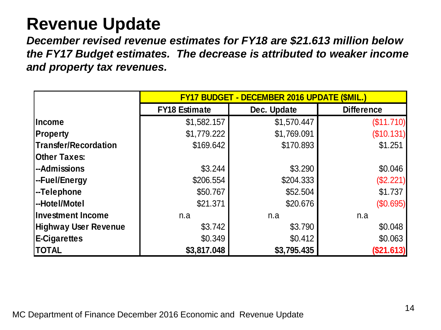#### **Revenue Update**

*December revised revenue estimates for FY18 are \$21.613 million below the FY17 Budget estimates. The decrease is attributed to weaker income and property tax revenues.*

|                             | FY17 BUDGET - DECEMBER 2016 UPDATE (\$MIL.) |             |                   |  |  |
|-----------------------------|---------------------------------------------|-------------|-------------------|--|--|
|                             | <b>FY18 Estimate</b>                        | Dec. Update | <b>Difference</b> |  |  |
| <b>Income</b>               | \$1,582.157                                 | \$1,570.447 | (\$11.710)        |  |  |
| <b>Property</b>             | \$1,779.222                                 | \$1,769.091 | (\$10.131)        |  |  |
| Transfer/Recordation        | \$169.642                                   | \$170.893   | \$1.251           |  |  |
| <b>Other Taxes:</b>         |                                             |             |                   |  |  |
| -Admissions                 | \$3.244                                     | \$3.290     | \$0.046           |  |  |
| -Fuel/Energy                | \$206.554                                   | \$204.333   | (\$2.221)         |  |  |
| -Telephone                  | \$50.767                                    | \$52.504    | \$1.737           |  |  |
| -Hotel/Motel                | \$21.371                                    | \$20.676    | (\$0.695)         |  |  |
| <b>Investment Income</b>    | n.a                                         | n.a         | n.a               |  |  |
| <b>Highway User Revenue</b> | \$3.742                                     | \$3.790     | \$0.048           |  |  |
| <b>E-Cigarettes</b>         | \$0.349                                     | \$0.412     | \$0.063           |  |  |
| <b>TOTAL</b>                | \$3,817.048                                 | \$3,795.435 | (\$21.613)        |  |  |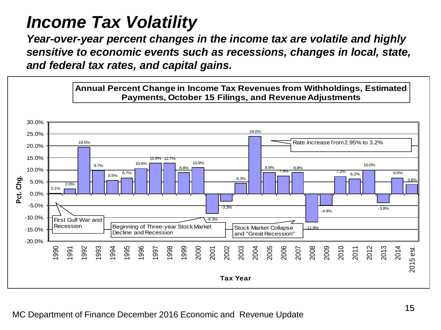### *Income Tax Volatility*

*Year-over-year percent changes in the income tax are volatile and highly sensitive to economic events such as recessions, changes in local, state, and federal tax rates, and capital gains.*

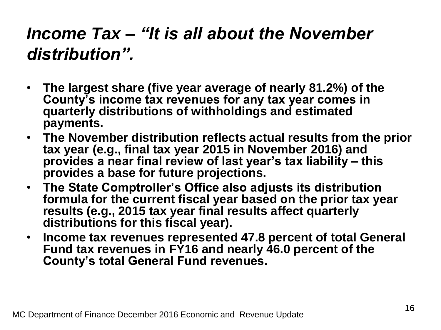### *Income Tax – "It is all about the November distribution".*

- **The largest share (five year average of nearly 81.2%) of the County's income tax revenues for any tax year comes in quarterly distributions of withholdings and estimated payments.**
- **The November distribution reflects actual results from the prior tax year (e.g., final tax year 2015 in November 2016) and provides a near final review of last year's tax liability – this provides a base for future projections.**
- **The State Comptroller's Office also adjusts its distribution formula for the current fiscal year based on the prior tax year results (e.g., 2015 tax year final results affect quarterly distributions for this fiscal year).**
- **Income tax revenues represented 47.8 percent of total General Fund tax revenues in FY16 and nearly 46.0 percent of the County's total General Fund revenues.**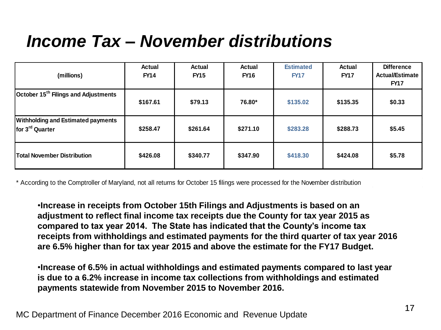### *Income Tax – November distributions*

| (millions)                                                                                                                                                                                                                                                                                                                                                                                                                                                                                                                                                                                                                                                                                                                                                                                                                 | Actual<br><b>FY14</b> | Actual<br><b>FY15</b> | Actual<br><b>FY16</b> | <b>Estimated</b><br><b>FY17</b> | Actual<br><b>FY17</b> | <b>Difference</b><br><b>Actual/Estimate</b><br><b>FY17</b> |  |
|----------------------------------------------------------------------------------------------------------------------------------------------------------------------------------------------------------------------------------------------------------------------------------------------------------------------------------------------------------------------------------------------------------------------------------------------------------------------------------------------------------------------------------------------------------------------------------------------------------------------------------------------------------------------------------------------------------------------------------------------------------------------------------------------------------------------------|-----------------------|-----------------------|-----------------------|---------------------------------|-----------------------|------------------------------------------------------------|--|
| October 15 <sup>th</sup> Filings and Adjustments                                                                                                                                                                                                                                                                                                                                                                                                                                                                                                                                                                                                                                                                                                                                                                           | \$167.61              | \$79.13               | 76.80*                | \$135.02                        | \$135.35              | \$0.33                                                     |  |
| <b>Withholding and Estimated payments</b><br>for 3 <sup>rd</sup> Quarter                                                                                                                                                                                                                                                                                                                                                                                                                                                                                                                                                                                                                                                                                                                                                   | \$258.47              | \$261.64              | \$271.10              | \$283.28                        | \$288.73              | \$5.45                                                     |  |
| <b>Total November Distribution</b>                                                                                                                                                                                                                                                                                                                                                                                                                                                                                                                                                                                                                                                                                                                                                                                         | \$426.08              | \$340.77              | \$347.90              | \$418.30                        | \$424.08              | \$5.78                                                     |  |
| * According to the Comptroller of Maryland, not all returns for October 15 filings were processed for the November distribution<br>. Increase in receipts from October 15th Filings and Adjustments is based on an<br>adjustment to reflect final income tax receipts due the County for tax year 2015 as<br>compared to tax year 2014. The State has indicated that the County's income tax<br>receipts from withholdings and estimated payments for the third quarter of tax year 2016<br>are 6.5% higher than for tax year 2015 and above the estimate for the FY17 Budget.<br>. Increase of 6.5% in actual withholdings and estimated payments compared to last year<br>is due to a 6.2% increase in income tax collections from withholdings and estimated<br>payments statewide from November 2015 to November 2016. |                       |                       |                       |                                 |                       |                                                            |  |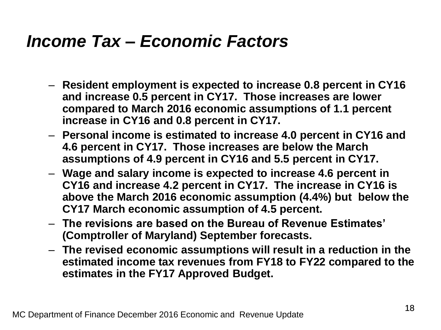#### *Income Tax – Economic Factors*

- **Resident employment is expected to increase 0.8 percent in CY16 and increase 0.5 percent in CY17. Those increases are lower compared to March 2016 economic assumptions of 1.1 percent increase in CY16 and 0.8 percent in CY17.**
- **Personal income is estimated to increase 4.0 percent in CY16 and 4.6 percent in CY17. Those increases are below the March assumptions of 4.9 percent in CY16 and 5.5 percent in CY17.**
- **Wage and salary income is expected to increase 4.6 percent in CY16 and increase 4.2 percent in CY17. The increase in CY16 is above the March 2016 economic assumption (4.4%) but below the CY17 March economic assumption of 4.5 percent.**
- **The revisions are based on the Bureau of Revenue Estimates' (Comptroller of Maryland) September forecasts.**
- **The revised economic assumptions will result in a reduction in the estimated income tax revenues from FY18 to FY22 compared to the estimates in the FY17 Approved Budget.**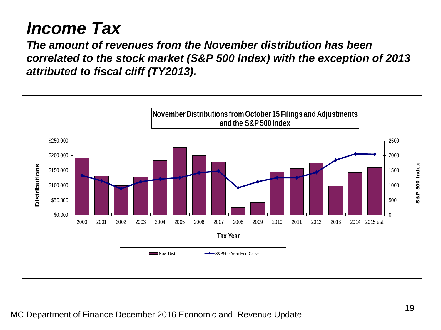### *Income Tax*

*The amount of revenues from the November distribution has been correlated to the stock market (S&P 500 Index) with the exception of 2013 attributed to fiscal cliff (TY2013).* 

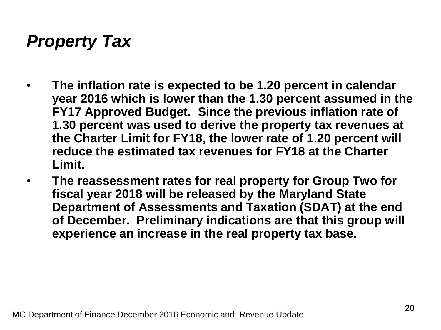### *Property Tax*

- **The inflation rate is expected to be 1.20 percent in calendar year 2016 which is lower than the 1.30 percent assumed in the FY17 Approved Budget. Since the previous inflation rate of 1.30 percent was used to derive the property tax revenues at the Charter Limit for FY18, the lower rate of 1.20 percent will reduce the estimated tax revenues for FY18 at the Charter Limit.**
- **The reassessment rates for real property for Group Two for fiscal year 2018 will be released by the Maryland State Department of Assessments and Taxation (SDAT) at the end of December. Preliminary indications are that this group will experience an increase in the real property tax base.**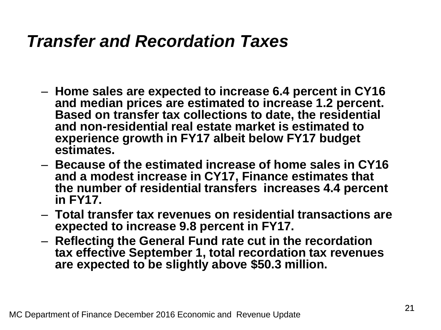#### *Transfer and Recordation Taxes*

- **Home sales are expected to increase 6.4 percent in CY16 and median prices are estimated to increase 1.2 percent. Based on transfer tax collections to date, the residential and non-residential real estate market is estimated to experience growth in FY17 albeit below FY17 budget estimates.**
- **Because of the estimated increase of home sales in CY16 and a modest increase in CY17, Finance estimates that the number of residential transfers increases 4.4 percent in FY17.**
- **Total transfer tax revenues on residential transactions are expected to increase 9.8 percent in FY17.**
- **Reflecting the General Fund rate cut in the recordation tax effective September 1, total recordation tax revenues are expected to be slightly above \$50.3 million.**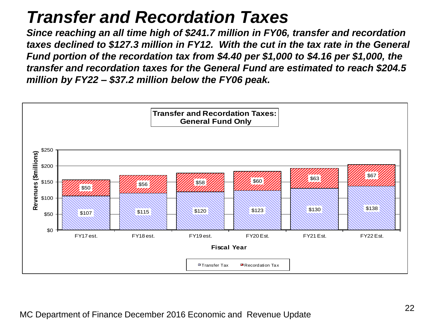#### *Transfer and Recordation Taxes*

*Since reaching an all time high of \$241.7 million in FY06, transfer and recordation taxes declined to \$127.3 million in FY12. With the cut in the tax rate in the General Fund portion of the recordation tax from \$4.40 per \$1,000 to \$4.16 per \$1,000, the transfer and recordation taxes for the General Fund are estimated to reach \$204.5 million by FY22 – \$37.2 million below the FY06 peak.*

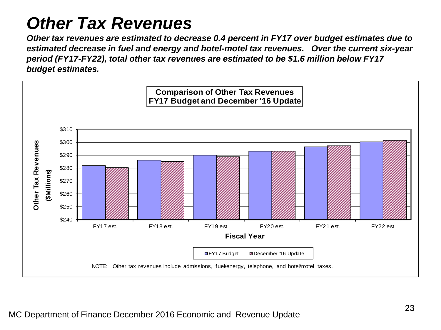### *Other Tax Revenues*

*Other tax revenues are estimated to decrease 0.4 percent in FY17 over budget estimates due to estimated decrease in fuel and energy and hotel-motel tax revenues. Over the current six-year period (FY17-FY22), total other tax revenues are estimated to be \$1.6 million below FY17 budget estimates.*